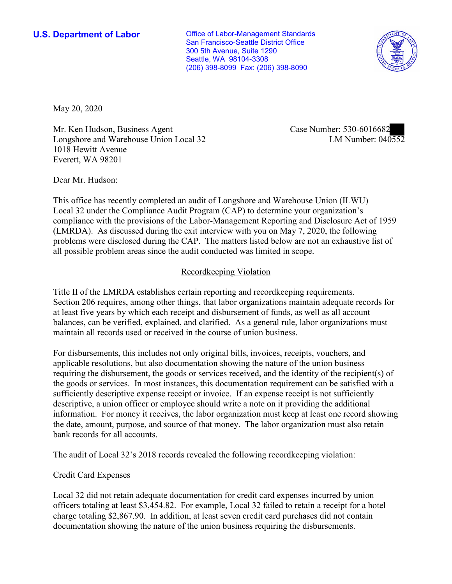**U.S. Department of Labor Conservative Conservative Conservative Conservative Conservative Conservative Conservative Conservative Conservative Conservative Conservative Conservative Conservative Conservative Conservative** San Francisco-Seattle District Office 300 5th Avenue, Suite 1290 Seattle, WA 98104-3308 (206) 398-8099 Fax: (206) 398-8090



May 20, 2020

Mr. Ken Hudson, Business Agent Longshore and Warehouse Union Local 32 1018 Hewitt Avenue Everett, WA 98201

Case Number: 530-6016682<br>LM Number: 040552

Dear Mr. Hudson:

 This office has recently completed an audit of Longshore and Warehouse Union (ILWU) Local 32 under the Compliance Audit Program (CAP) to determine your organization's compliance with the provisions of the Labor-Management Reporting and Disclosure Act of 1959 (LMRDA). As discussed during the exit interview with you on May 7, 2020, the following problems were disclosed during the CAP. The matters listed below are not an exhaustive list of all possible problem areas since the audit conducted was limited in scope.

## Recordkeeping Violation

 Section 206 requires, among other things, that labor organizations maintain adequate records for Title II of the LMRDA establishes certain reporting and recordkeeping requirements. at least five years by which each receipt and disbursement of funds, as well as all account balances, can be verified, explained, and clarified. As a general rule, labor organizations must maintain all records used or received in the course of union business.

For disbursements, this includes not only original bills, invoices, receipts, vouchers, and applicable resolutions, but also documentation showing the nature of the union business requiring the disbursement, the goods or services received, and the identity of the recipient(s) of the goods or services. In most instances, this documentation requirement can be satisfied with a sufficiently descriptive expense receipt or invoice. If an expense receipt is not sufficiently descriptive, a union officer or employee should write a note on it providing the additional information. For money it receives, the labor organization must keep at least one record showing the date, amount, purpose, and source of that money. The labor organization must also retain bank records for all accounts.

The audit of Local 32's 2018 records revealed the following recordkeeping violation:

## Credit Card Expenses

Local 32 did not retain adequate documentation for credit card expenses incurred by union officers totaling at least \$[3,454.82.](https://3,454.82) For example, Local 32 failed to retain a receipt for a hotel charge totaling \$[2,867.90.](https://2,867.90) In addition, at least seven credit card purchases did not contain documentation showing the nature of the union business requiring the disbursements.